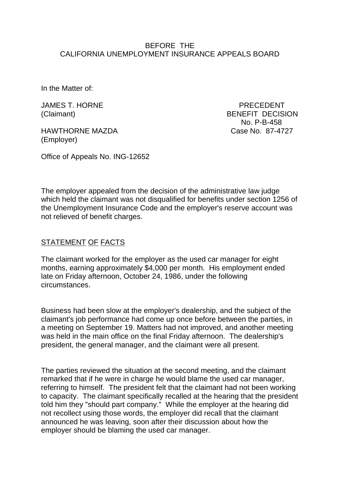### BEFORE THE CALIFORNIA UNEMPLOYMENT INSURANCE APPEALS BOARD

In the Matter of:

JAMES T. HORNE PRECEDENT

HAWTHORNE MAZDA Case No. 87-4727 (Employer)

(Claimant) BENEFIT DECISION No. P-B-458

Office of Appeals No. ING-12652

The employer appealed from the decision of the administrative law judge which held the claimant was not disqualified for benefits under section 1256 of the Unemployment Insurance Code and the employer's reserve account was not relieved of benefit charges.

## STATEMENT OF FACTS

The claimant worked for the employer as the used car manager for eight months, earning approximately \$4,000 per month. His employment ended late on Friday afternoon, October 24, 1986, under the following circumstances.

Business had been slow at the employer's dealership, and the subject of the claimant's job performance had come up once before between the parties, in a meeting on September 19. Matters had not improved, and another meeting was held in the main office on the final Friday afternoon. The dealership's president, the general manager, and the claimant were all present.

The parties reviewed the situation at the second meeting, and the claimant remarked that if he were in charge he would blame the used car manager, referring to himself. The president felt that the claimant had not been working to capacity. The claimant specifically recalled at the hearing that the president told him they "should part company." While the employer at the hearing did not recollect using those words, the employer did recall that the claimant announced he was leaving, soon after their discussion about how the employer should be blaming the used car manager.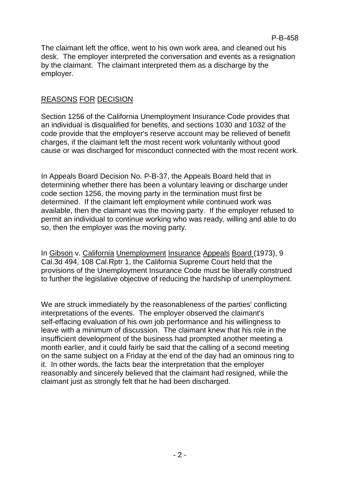The claimant left the office, went to his own work area, and cleaned out his desk. The employer interpreted the conversation and events as a resignation by the claimant. The claimant interpreted them as a discharge by the employer.

# REASONS FOR DECISION

Section 1256 of the California Unemployment Insurance Code provides that an individual is disqualified for benefits, and sections 1030 and 1032 of the code provide that the employer's reserve account may be relieved of benefit charges, if the claimant left the most recent work voluntarily without good cause or was discharged for misconduct connected with the most recent work.

In Appeals Board Decision No. P-B-37, the Appeals Board held that in determining whether there has been a voluntary leaving or discharge under code section 1256, the moving party in the termination must first be determined. If the claimant left employment while continued work was available, then the claimant was the moving party. If the employer refused to permit an individual to continue working who was ready, willing and able to do so, then the employer was the moving party.

In Gibson v. California Unemployment Insurance Appeals Board (1973), 9 Cal.3d 494, 108 Cal.Rptr 1, the California Supreme Court held that the provisions of the Unemployment Insurance Code must be liberally construed to further the legislative objective of reducing the hardship of unemployment.

We are struck immediately by the reasonableness of the parties' conflicting interpretations of the events. The employer observed the claimant's self-effacing evaluation of his own job performance and his willingness to leave with a minimum of discussion. The claimant knew that his role in the insufficient development of the business had prompted another meeting a month earlier, and it could fairly be said that the calling of a second meeting on the same subject on a Friday at the end of the day had an ominous ring to it. In other words, the facts bear the interpretation that the employer reasonably and sincerely believed that the claimant had resigned, while the claimant just as strongly felt that he had been discharged.